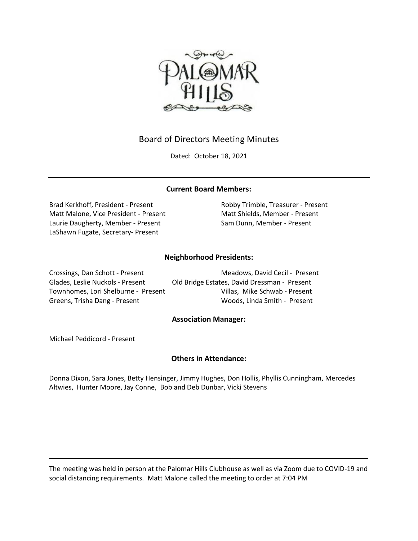

# Board of Directors Meeting Minutes

Dated: October 18, 2021

# **Current Board Members:**

Brad Kerkhoff, President - Present Robby Trimble, Treasurer - Present Matt Malone, Vice President - Present Matt Shields, Member - Present Laurie Daugherty, Member - Present Sam Dunn, Member - Present LaShawn Fugate, Secretary- Present

# **Neighborhood Presidents:**

Crossings, Dan Schott - Present Meadows, David Cecil - Present Glades, Leslie Nuckols - Present Old Bridge Estates, David Dressman - Present Townhomes, Lori Shelburne - Present Villas, Mike Schwab - Present Greens, Trisha Dang - Present Woods, Linda Smith - Present

## **Association Manager:**

Michael Peddicord - Present

## **Others in Attendance:**

Donna Dixon, Sara Jones, Betty Hensinger, Jimmy Hughes, Don Hollis, Phyllis Cunningham, Mercedes Altwies, Hunter Moore, Jay Conne, Bob and Deb Dunbar, Vicki Stevens

The meeting was held in person at the Palomar Hills Clubhouse as well as via Zoom due to COVID-19 and social distancing requirements. Matt Malone called the meeting to order at 7:04 PM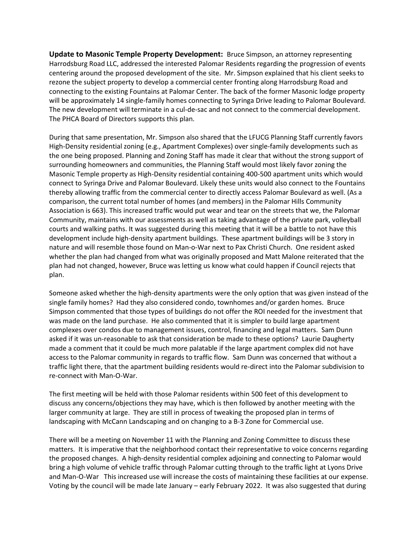**Update to Masonic Temple Property Development:** Bruce Simpson, an attorney representing Harrodsburg Road LLC, addressed the interested Palomar Residents regarding the progression of events centering around the proposed development of the site. Mr. Simpson explained that his client seeks to rezone the subject property to develop a commercial center fronting along Harrodsburg Road and connecting to the existing Fountains at Palomar Center. The back of the former Masonic lodge property will be approximately 14 single-family homes connecting to Syringa Drive leading to Palomar Boulevard. The new development will terminate in a cul-de-sac and not connect to the commercial development. The PHCA Board of Directors supports this plan.

During that same presentation, Mr. Simpson also shared that the LFUCG Planning Staff currently favors High-Density residential zoning (e.g., Apartment Complexes) over single-family developments such as the one being proposed. Planning and Zoning Staff has made it clear that without the strong support of surrounding homeowners and communities, the Planning Staff would most likely favor zoning the Masonic Temple property as High-Density residential containing 400-500 apartment units which would connect to Syringa Drive and Palomar Boulevard. Likely these units would also connect to the Fountains thereby allowing traffic from the commercial center to directly access Palomar Boulevard as well. (As a comparison, the current total number of homes (and members) in the Palomar Hills Community Association is 663). This increased traffic would put wear and tear on the streets that we, the Palomar Community, maintains with our assessments as well as taking advantage of the private park, volleyball courts and walking paths. It was suggested during this meeting that it will be a battle to not have this development include high-density apartment buildings. These apartment buildings will be 3 story in nature and will resemble those found on Man-o-War next to Pax Christi Church. One resident asked whether the plan had changed from what was originally proposed and Matt Malone reiterated that the plan had not changed, however, Bruce was letting us know what could happen if Council rejects that plan.

Someone asked whether the high-density apartments were the only option that was given instead of the single family homes? Had they also considered condo, townhomes and/or garden homes. Bruce Simpson commented that those types of buildings do not offer the ROI needed for the investment that was made on the land purchase. He also commented that it is simpler to build large apartment complexes over condos due to management issues, control, financing and legal matters. Sam Dunn asked if it was un-reasonable to ask that consideration be made to these options? Laurie Daugherty made a comment that it could be much more palatable if the large apartment complex did not have access to the Palomar community in regards to traffic flow. Sam Dunn was concerned that without a traffic light there, that the apartment building residents would re-direct into the Palomar subdivision to re-connect with Man-O-War.

The first meeting will be held with those Palomar residents within 500 feet of this development to discuss any concerns/objections they may have, which is then followed by another meeting with the larger community at large. They are still in process of tweaking the proposed plan in terms of landscaping with McCann Landscaping and on changing to a B-3 Zone for Commercial use.

There will be a meeting on November 11 with the Planning and Zoning Committee to discuss these matters. It is imperative that the neighborhood contact their representative to voice concerns regarding the proposed changes. A high-density residential complex adjoining and connecting to Palomar would bring a high volume of vehicle traffic through Palomar cutting through to the traffic light at Lyons Drive and Man-O-War This increased use will increase the costs of maintaining these facilities at our expense. Voting by the council will be made late January – early February 2022. It was also suggested that during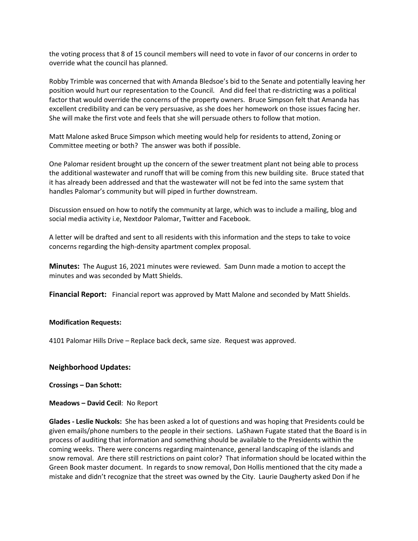the voting process that 8 of 15 council members will need to vote in favor of our concerns in order to override what the council has planned.

Robby Trimble was concerned that with Amanda Bledsoe's bid to the Senate and potentially leaving her position would hurt our representation to the Council. And did feel that re-districting was a political factor that would override the concerns of the property owners. Bruce Simpson felt that Amanda has excellent credibility and can be very persuasive, as she does her homework on those issues facing her. She will make the first vote and feels that she will persuade others to follow that motion.

Matt Malone asked Bruce Simpson which meeting would help for residents to attend, Zoning or Committee meeting or both? The answer was both if possible.

One Palomar resident brought up the concern of the sewer treatment plant not being able to process the additional wastewater and runoff that will be coming from this new building site. Bruce stated that it has already been addressed and that the wastewater will not be fed into the same system that handles Palomar's community but will piped in further downstream.

Discussion ensued on how to notify the community at large, which was to include a mailing, blog and social media activity i.e, Nextdoor Palomar, Twitter and Facebook.

A letter will be drafted and sent to all residents with this information and the steps to take to voice concerns regarding the high-density apartment complex proposal.

**Minutes:** The August 16, 2021 minutes were reviewed. Sam Dunn made a motion to accept the minutes and was seconded by Matt Shields.

**Financial Report:** Financial report was approved by Matt Malone and seconded by Matt Shields.

#### **Modification Requests:**

4101 Palomar Hills Drive – Replace back deck, same size. Request was approved.

#### **Neighborhood Updates:**

**Crossings – Dan Schott:** 

**Meadows – David Cecil**: No Report

**Glades - Leslie Nuckols:** She has been asked a lot of questions and was hoping that Presidents could be given emails/phone numbers to the people in their sections. LaShawn Fugate stated that the Board is in process of auditing that information and something should be available to the Presidents within the coming weeks. There were concerns regarding maintenance, general landscaping of the islands and snow removal. Are there still restrictions on paint color? That information should be located within the Green Book master document. In regards to snow removal, Don Hollis mentioned that the city made a mistake and didn't recognize that the street was owned by the City. Laurie Daugherty asked Don if he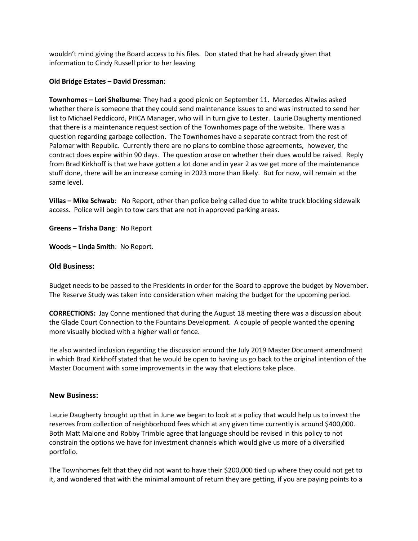wouldn't mind giving the Board access to his files. Don stated that he had already given that information to Cindy Russell prior to her leaving

#### **Old Bridge Estates – David Dressman**:

**Townhomes – Lori Shelburne**: They had a good picnic on September 11. Mercedes Altwies asked whether there is someone that they could send maintenance issues to and was instructed to send her list to Michael Peddicord, PHCA Manager, who will in turn give to Lester. Laurie Daugherty mentioned that there is a maintenance request section of the Townhomes page of the website. There was a question regarding garbage collection. The Townhomes have a separate contract from the rest of Palomar with Republic. Currently there are no plans to combine those agreements, however, the contract does expire within 90 days. The question arose on whether their dues would be raised. Reply from Brad Kirkhoff is that we have gotten a lot done and in year 2 as we get more of the maintenance stuff done, there will be an increase coming in 2023 more than likely. But for now, will remain at the same level.

**Villas – Mike Schwab**: No Report, other than police being called due to white truck blocking sidewalk access. Police will begin to tow cars that are not in approved parking areas.

**Greens – Trisha Dang**: No Report

**Woods – Linda Smith**: No Report.

## **Old Business:**

Budget needs to be passed to the Presidents in order for the Board to approve the budget by November. The Reserve Study was taken into consideration when making the budget for the upcoming period.

**CORRECTIONS:** Jay Conne mentioned that during the August 18 meeting there was a discussion about the Glade Court Connection to the Fountains Development. A couple of people wanted the opening more visually blocked with a higher wall or fence.

He also wanted inclusion regarding the discussion around the July 2019 Master Document amendment in which Brad Kirkhoff stated that he would be open to having us go back to the original intention of the Master Document with some improvements in the way that elections take place.

#### **New Business:**

Laurie Daugherty brought up that in June we began to look at a policy that would help us to invest the reserves from collection of neighborhood fees which at any given time currently is around \$400,000. Both Matt Malone and Robby Trimble agree that language should be revised in this policy to not constrain the options we have for investment channels which would give us more of a diversified portfolio.

The Townhomes felt that they did not want to have their \$200,000 tied up where they could not get to it, and wondered that with the minimal amount of return they are getting, if you are paying points to a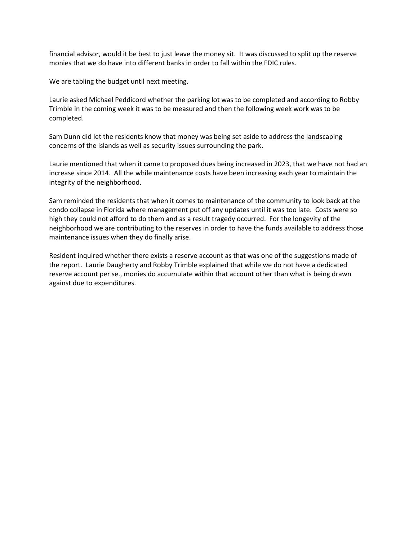financial advisor, would it be best to just leave the money sit. It was discussed to split up the reserve monies that we do have into different banks in order to fall within the FDIC rules.

We are tabling the budget until next meeting.

Laurie asked Michael Peddicord whether the parking lot was to be completed and according to Robby Trimble in the coming week it was to be measured and then the following week work was to be completed.

Sam Dunn did let the residents know that money was being set aside to address the landscaping concerns of the islands as well as security issues surrounding the park.

Laurie mentioned that when it came to proposed dues being increased in 2023, that we have not had an increase since 2014. All the while maintenance costs have been increasing each year to maintain the integrity of the neighborhood.

Sam reminded the residents that when it comes to maintenance of the community to look back at the condo collapse in Florida where management put off any updates until it was too late. Costs were so high they could not afford to do them and as a result tragedy occurred. For the longevity of the neighborhood we are contributing to the reserves in order to have the funds available to address those maintenance issues when they do finally arise.

Resident inquired whether there exists a reserve account as that was one of the suggestions made of the report. Laurie Daugherty and Robby Trimble explained that while we do not have a dedicated reserve account per se., monies do accumulate within that account other than what is being drawn against due to expenditures.